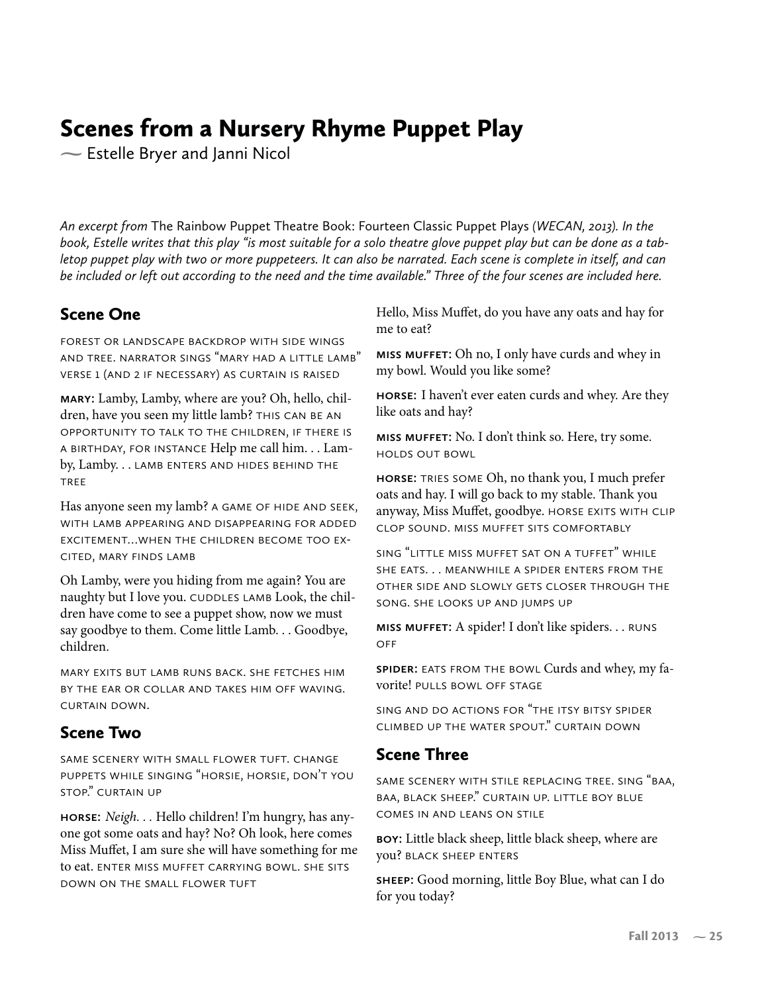## Scenes from a Nursery Rhyme Puppet Play

**-** Estelle Bryer and Janni Nicol

*An excerpt from* The Rainbow Puppet Theatre Book: Fourteen Classic Puppet Plays *(WECAN, 2013). In the book, Estelle writes that this play "is most suitable for a solo theatre glove puppet play but can be done as a tabletop puppet play with two or more puppeteers. It can also be narrated. Each scene is complete in itself, and can be included or left out according to the need and the time available." Three of the four scenes are included here.*

## Scene One

forest or landscape backdrop with side wings and tree. narrator sings "mary had a little lamb" verse 1 (and 2 if necessary) as curtain is raised

**mary:** Lamby, Lamby, where are you? Oh, hello, children, have you seen my little lamb? THIS CAN BE AN opportunity to talk to the children, if there is a birthday, for instance Help me call him. . . Lamby, Lamby. . . lamb enters and hides behind the tree

Has anyone seen my lamb? A GAME OF HIDE AND SEEK, with lamb appearing and disappearing for added excitement…when the children become too excited, mary finds lamb

Oh Lamby, were you hiding from me again? You are naughty but I love you. CUDDLES LAMB Look, the children have come to see a puppet show, now we must say goodbye to them. Come little Lamb. . . Goodbye, children.

mary exits but lamb runs back. she fetches him by the ear or collar and takes him off waving. curtain down.

## Scene Two

same scenery with small flower tuft. change puppets while singing "horsie, horsie, don't you stop." curtain up

**horse:** Neigh. . . Hello children! I'm hungry, has anyone got some oats and hay? No? Oh look, here comes Miss Muffet, I am sure she will have something for me to eat. ENTER MISS MUFFET CARRYING BOWL. SHE SITS down on the small flower tuft

Hello, Miss Muffet, do you have any oats and hay for me to eat?

**miss muffet:** Oh no, I only have curds and whey in my bowl. Would you like some?

**horse:** I haven't ever eaten curds and whey. Are they like oats and hay?

**miss muffet:** No. I don't think so. Here, try some. holds out bowl

**horse:** tries some Oh, no thank you, I much prefer oats and hay. I will go back to my stable. Thank you anyway, Miss Muffet, goodbye. HORSE EXITS WITH CLIP clop sound. miss muffet sits comfortably

sing "little miss muffet sat on a tuffet" while SHE EATS. . . MEANWHILE A SPIDER ENTERS FROM THE other side and slowly gets closer through the song. she looks up and jumps up

**miss muffet:** A spider! I don't like spiders. . . runs **OFF** 

**spider:** eats from the bowl Curds and whey, my favorite! pulls bowl off stage

sing and do actions for "the itsy bitsy spider climbed up the water spout." curtain down

## Scene Three

same scenery with stile replacing tree. sing "baa, baa, black sheep." curtain up. little boy blue comes in and leans on stile

**boy:** Little black sheep, little black sheep, where are you? black sheep enters

**sheep:** Good morning, little Boy Blue, what can I do for you today?